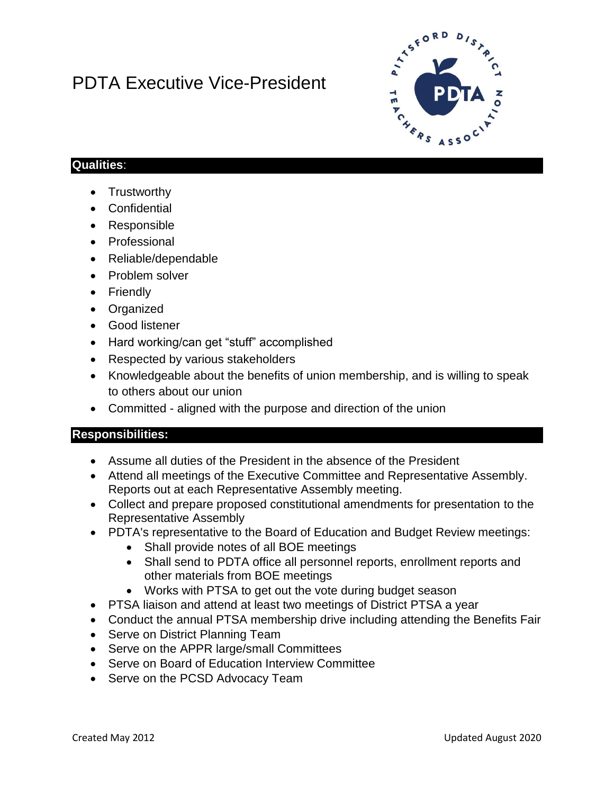# PDTA Executive Vice-President



### **Qualities**:

- Trustworthy
- Confidential
- Responsible
- Professional
- Reliable/dependable
- Problem solver
- Friendly
- Organized
- Good listener
- Hard working/can get "stuff" accomplished
- Respected by various stakeholders
- Knowledgeable about the benefits of union membership, and is willing to speak to others about our union
- Committed aligned with the purpose and direction of the union

#### **Responsibilities:**

- Assume all duties of the President in the absence of the President
- Attend all meetings of the Executive Committee and Representative Assembly. Reports out at each Representative Assembly meeting.
- Collect and prepare proposed constitutional amendments for presentation to the Representative Assembly
- PDTA's representative to the Board of Education and Budget Review meetings:
	- Shall provide notes of all BOE meetings
	- Shall send to PDTA office all personnel reports, enrollment reports and other materials from BOE meetings
	- Works with PTSA to get out the vote during budget season
- PTSA liaison and attend at least two meetings of District PTSA a year
- Conduct the annual PTSA membership drive including attending the Benefits Fair
- Serve on District Planning Team
- Serve on the APPR large/small Committees
- Serve on Board of Education Interview Committee
- Serve on the PCSD Advocacy Team